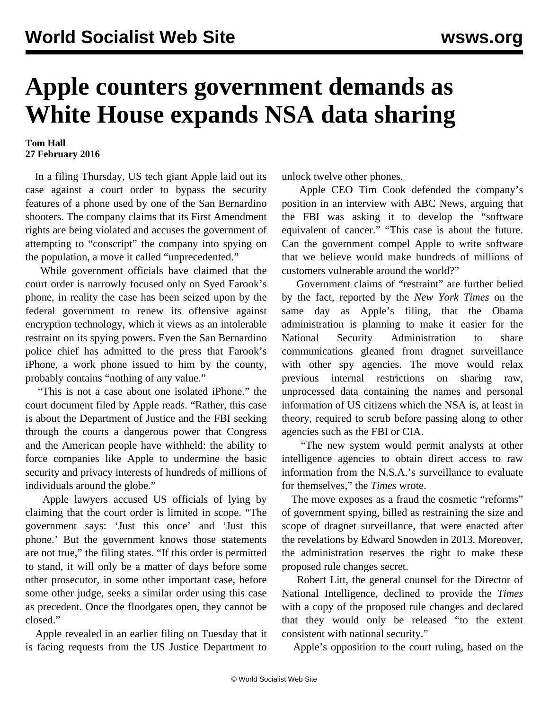## **Apple counters government demands as White House expands NSA data sharing**

## **Tom Hall 27 February 2016**

 In a filing Thursday, US tech giant Apple laid out its case against a court order to bypass the security features of a phone used by one of the San Bernardino shooters. The company claims that its First Amendment rights are being violated and accuses the government of attempting to "conscript" the company into spying on the population, a move it called "unprecedented."

 While government officials have claimed that the court order is narrowly focused only on Syed Farook's phone, in reality the case has been seized upon by the federal government to renew its offensive against encryption technology, which it views as an intolerable restraint on its spying powers. Even the San Bernardino police chief has admitted to the press that Farook's iPhone, a work phone issued to him by the county, probably contains "nothing of any value."

 "This is not a case about one isolated iPhone." the court document filed by Apple reads. "Rather, this case is about the Department of Justice and the FBI seeking through the courts a dangerous power that Congress and the American people have withheld: the ability to force companies like Apple to undermine the basic security and privacy interests of hundreds of millions of individuals around the globe."

 Apple lawyers accused US officials of lying by claiming that the court order is limited in scope. "The government says: 'Just this once' and 'Just this phone.' But the government knows those statements are not true," the filing states. "If this order is permitted to stand, it will only be a matter of days before some other prosecutor, in some other important case, before some other judge, seeks a similar order using this case as precedent. Once the floodgates open, they cannot be closed."

 Apple revealed in an earlier filing on Tuesday that it is facing requests from the US Justice Department to unlock twelve other phones.

 Apple CEO Tim Cook defended the company's position in an interview with ABC News, arguing that the FBI was asking it to develop the "software equivalent of cancer." "This case is about the future. Can the government compel Apple to write software that we believe would make hundreds of millions of customers vulnerable around the world?"

 Government claims of "restraint" are further belied by the fact, reported by the *New York Times* on the same day as Apple's filing, that the Obama administration is planning to make it easier for the National Security Administration to share communications gleaned from dragnet surveillance with other spy agencies. The move would relax previous internal restrictions on sharing raw, unprocessed data containing the names and personal information of US citizens which the NSA is, at least in theory, required to scrub before passing along to other agencies such as the FBI or CIA.

 "The new system would permit analysts at other intelligence agencies to obtain direct access to raw information from the N.S.A.'s surveillance to evaluate for themselves," the *Times* wrote.

 The move exposes as a fraud the cosmetic "reforms" of government spying, billed as restraining the size and scope of dragnet surveillance, that were enacted after the revelations by Edward Snowden in 2013. Moreover, the administration reserves the right to make these proposed rule changes secret.

 Robert Litt, the general counsel for the Director of National Intelligence, declined to provide the *Times* with a copy of the proposed rule changes and declared that they would only be released "to the extent consistent with national security."

Apple's opposition to the court ruling, based on the